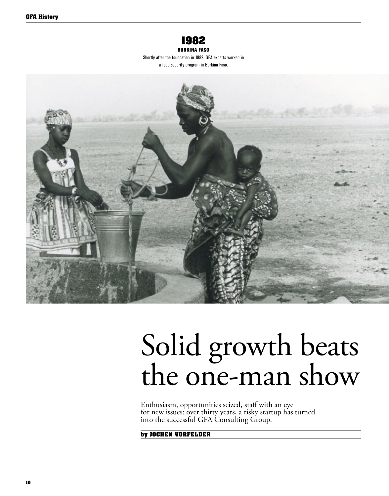

Burkina faso Shortly after the foundation in 1982, GFA experts worked in

a food security program in Burkina Faso.



# Solid growth beats the one-man show

Enthusiasm, opportunities seized, staff with an eye for new issues: over thirty years, a risky startup has turned into the successful GFA Consulting Group.

**by jochen vorfelder**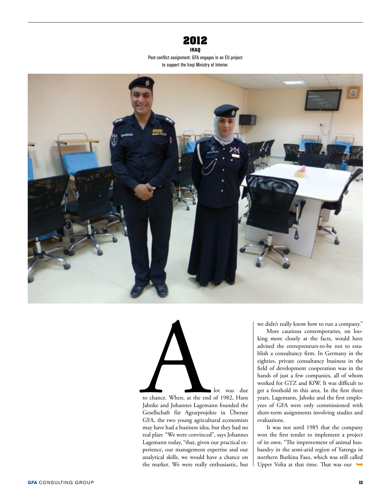

Iraq Post-conflict assignment: GFA engages in an EU project to support the Iraqi Ministry of Interior.





to chance. When, at the end of 1982, Hans Jahnke and Johannes Lagemann founded the Gesellschaft für Agrarprojekte in Übersee GFA, the two young agricultural economists may have had a business idea, but they had no real plan: "We were convinced", says Johannes Lagemann today, "that, given our practical experience, our management expertise and our analytical skills, we would have a chance on the market. We were really enthusiastic, but

We didn't really know how to run a company."<br>
More cautious contemporaries, on looking more closely at the facts, would have<br>
advised the entrepreneurs-to-be not to esta-<br>
blish a consultancy firm. In Germany in the<br>
eight More cautious contemporaries, on looking more closely at the facts, would have advised the entrepreneurs-to-be not to establish a consultancy firm. In Germany in the eighties, private consultancy business in the field of development cooperation was in the hands of just a few companies, all of whom worked for GTZ and KfW. It was difficult to get a foothold in this area. In the first three years, Lagemann, Jahnke and the first employees of GFA were only commissioned with short-term assignments involving studies and evaluations.

> It was not until 1985 that the company won the first tender to implement a project of its own: "The improvement of animal husbandry in the semi-arid region of Yatenga in northern Burkina Faso, which was still called Upper Volta at that time. That was our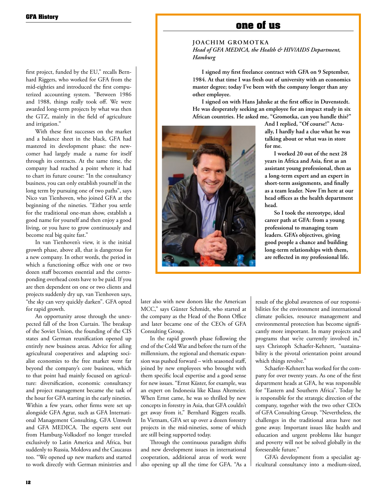### **one of us**

#### **joachim G romotka** *Head of GFA MEDICA, the Health & HIV/AIDS Department, Hamburg*

**I signed my first freelance contract with GFA on 9 September, 1984. At that time I was fresh out of university with an economics master degree; today I've been with the company longer than any other employee.** 

**I signed on with Hans Jahnke at the first office in Duvenstedt. He was desperately seeking an employee for an impact study in six African countries. He asked me, "Gromotka, can you handle this?"** 



**And I replied, "Of course!" Actually, I hardly had a clue what he was talking about or what was in store for me.**

**I worked 20 out of the next 28 years in Africa and Asia, first as an assistant young professional, then as a long-term expert and an expert in short-term assignments, and finally as a team leader. Now I'm here at our head offices as the health department head.** 

**So I took the stereotype, ideal career path at GFA: from a young professional to managing team leaders. GFA's objectives, giving good people a chance and building long-term relationships with them, are reflected in my professional life.** 

later also with new donors like the American MCC," says Günter Schmidt, who started at the company as the Head of the Bonn Office and later became one of the CEOs of GFA Consulting Group.

In the rapid growth phase following the end of the Cold War and before the turn of the millennium, the regional and thematic expansion was pushed forward – with seasoned staff, joined by new employees who brought with them specific local expertise and a good sense for new issues. "Ernst Küster, for example, was an expert on Indonesia like Klaus Altemeier. When Ernst came, he was so thrilled by new concepts in forestry in Asia, that GFA couldn't get away from it," Bernhard Riggers recalls. In Vietnam, GFA set up over a dozen forestry projects in the mid-nineties, some of which are still being supported today.

Through the continuous paradigm shifts and new development issues in international cooperation, additional areas of work were also opening up all the time for GFA. "As a result of the global awareness of our responsibilities for the environment and international climate policies, resource management and environmental protection has become significantly more important. In many projects and programs that we're currently involved in," says Christoph Schaefer-Kehnert, "sustainability is the pivotal orientation point around which things revolve."

Schaefer-Kehnert has worked for the company for over twenty years. As one of the first department heads at GFA, he was responsible for "Eastern and Southern Africa". Today he is responsible for the strategic direction of the company, together with the two other CEOs of GFA Consulting Group. "Nevertheless, the challenges in the traditional areas have not gone away. Important issues like health and education and urgent problems like hunger and poverty will not be solved globally in the foreseeable future."

GFA's development from a specialist agricultural consultancy into a medium-sized,

first project, funded by the EU," recalls Bernhard Riggers, who worked for GFA from the mid-eighties and introduced the first computerized accounting system. "Between 1986 and 1988, things really took off. We were awarded long-term projects by what was then the GTZ, mainly in the field of agriculture and irrigation."

With these first successes on the market and a balance sheet in the black, GFA had mastered its development phase: the newcomer had largely made a name for itself through its contracts. At the same time, the company had reached a point where it had to chart its future course: "In the consultancy business, you can only establish yourself in the long term by pursuing one of two paths", says Nico van Tienhoven, who joined GFA at the beginning of the nineties. "Either you settle for the traditional one-man show, establish a good name for yourself and then enjoy a good living, or you have to grow continuously and become real big quite fast."

In van Tienhoven's view, it is the initial growth phase, above all, that is dangerous for a new company. In other words, the period in which a functioning office with one or two dozen staff becomes essential and the corresponding overhead costs have to be paid. If you are then dependent on one or two clients and projects suddenly dry up, van Tienhoven says, "the sky can very quickly darken". GFA opted for rapid growth.

An opportunity arose through the unexpected fall of the Iron Curtain. The breakup of the Soviet Union, the founding of the CIS states and German reunification opened up entirely new business areas. Advice for ailing agricultural cooperatives and adapting socialist economies to the free market went far beyond the company's core business, which to that point had mainly focused on agriculture: diversification, economic consultancy and project management became the task of the hour for GFA starting in the early nineties. Within a few years, other firms were set up alongside GFA Agrar, such as GFA International Management Consulting, GFA Umwelt and GFA MEDICA. The experts sent out from Hamburg-Volksdorf no longer traveled exclusively to Latin America and Africa, but suddenly to Russia, Moldova and the Caucasus too. "We opened up new markets and started to work directly with German ministries and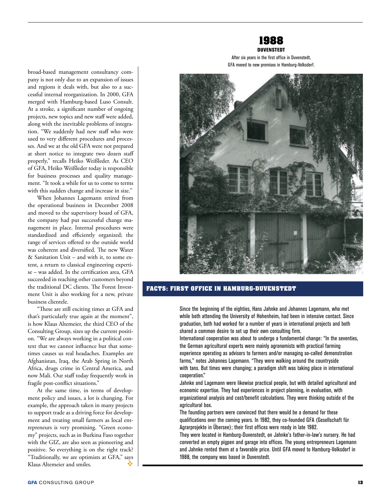

After six years in the first office in Duvenstedt, GFA moved to new premises in Hamburg-Volksdorf.

broad-based management consultancy company is not only due to an expansion of issues and regions it deals with, but also to a successful internal reorganization. In 2000, GFA merged with Hamburg-based Luso Consult. At a stroke, a significant number of ongoing projects, new topics and new staff were added, along with the inevitable problems of integration. "We suddenly had new staff who were used to very different procedures and processes. And we at the old GFA were not prepared at short notice to integrate two dozen staff properly," recalls Heiko Weißleder. As CEO of GFA, Heiko Weißleder today is responsible for business processes and quality management. "It took a while for us to come to terms with this sudden change and increase in size."

When Johannes Lagemann retired from the operational business in December 2008 and moved to the supervisory board of GFA, the company had put successful change management in place. Internal procedures were standardized and efficiently organized; the range of services offered to the outside world was coherent and diversified. The new Water & Sanitation Unit – and with it, to some extent, a return to classical engineering expertise – was added. In the certification area, GFA succeeded in reaching other customers beyond the traditional DC clients. The Forest Investment Unit is also working for a new, private business clientele.

"These are still exciting times at GFA and that's particularly true again at the moment", is how Klaus Altemeier, the third CEO of the Consulting Group, sizes up the current position. "We are always working in a political context that we cannot influence but that sometimes causes us real headaches. Examples are Afghanistan, Iraq, the Arab Spring in North Africa, drugs crime in Central America, and now Mali. Our staff today frequently work in fragile post-conflict situations."

At the same time, in terms of development policy and issues, a lot is changing. For example, the approach taken in many projects to support trade as a driving force for development and treating small farmers as local entrepreneurs is very promising. "Green economy" projects, such as in Burkina Faso together with the GIZ, are also seen as pioneering and positive. So everything is on the right track? "Traditionally, we are optimists at GFA," says Klaus Altemeier and smiles. ٠



#### **FACTS: FIRST OFFICE IN HAMBURG-DUVENSTEDT**

Since the beginning of the eighties, Hans Jahnke and Johannes Lagemann, who met while both attending the University of Hohenheim, had been in intensive contact. Since graduation, both had worked for a number of years in international projects and both shared a common desire to set up their own consulting firm.

International cooperation was about to undergo a fundamental change: "In the seventies, the German agricultural experts were mainly agronomists with practical farming experience operating as advisors to farmers and/or managing so-called demonstration farms," notes Johannes Lagemann. "They were walking around the countryside with tans. But times were changing; a paradigm shift was taking place in international cooperation."

Jahnke and Lagemann were likewise practical people, but with detailed agricultural and economic expertise. They had experiences in project planning, in evaluation, with organizational analysis and cost/benefit calculations. They were thinking outside of the agricultural box.

The founding partners were convinced that there would be a demand for these qualifications over the coming years. In 1982, they co-founded GFA (Gesellschaft für Agrarprojekte in Übersee); their first offices were ready in late 1982.

They were located in Hamburg-Duvenstedt, on Jahnke's father-in-law's nursery. He had converted an empty pigpen and garage into offices. The young entrepreneurs Lagemann and Jahnke rented them at a favorable price. Until GFA moved to Hamburg-Volksdorf in 1988, the company was based in Duvenstedt.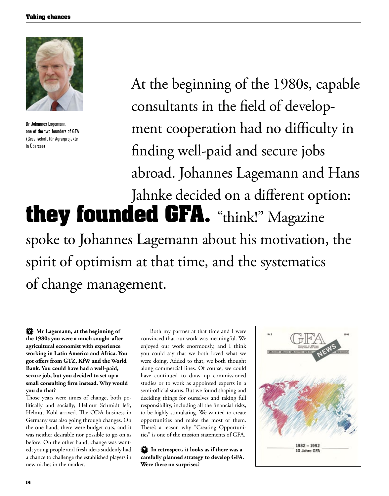

Dr Johannes Lagemann, one of the two founders of GFA (Gesellschaft für Agrarprojekte in Übersee)

At the beginning of the 1980s, capable consultants in the field of development cooperation had no difficulty in finding well-paid and secure jobs abroad. Johannes Lagemann and Hans Jahnke decided on a different option: **they founded GFA.** "think!" Magazine spoke to Johannes Lagemann about his motivation, the spirit of optimism at that time, and the systematics

of change management.

**? Mr Lagemann, at the beginning of the 1980s you were a much sought-after agricultural economist with experience working in Latin America and Africa. You got offers from GTZ, KfW and the World Bank. You could have had a well-paid, secure job, but you decided to set up a small consulting firm instead. Why would you do that?**

Those years were times of change, both politically and socially; Helmut Schmidt left, Helmut Kohl arrived. The ODA business in Germany was also going through changes. On the one hand, there were budget cuts, and it was neither desirable nor possible to go on as before. On the other hand, change was wanted; young people and fresh ideas suddenly had a chance to challenge the established players in new niches in the market.

Both my partner at that time and I were convinced that our work was meaningful. We enjoyed our work enormously, and I think you could say that we both loved what we were doing. Added to that, we both thought along commercial lines. Of course, we could have continued to draw up commissioned studies or to work as appointed experts in a semi-official status. But we found shaping and deciding things for ourselves and taking full responsibility, including all the financial risks, to be highly stimulating. We wanted to create opportunities and make the most of them. There's a reason why "Creating Opportunities" is one of the mission statements of GFA.

**? In retrospect, it looks as if there was a carefully planned strategy to develop GFA. Were there no surprises?**

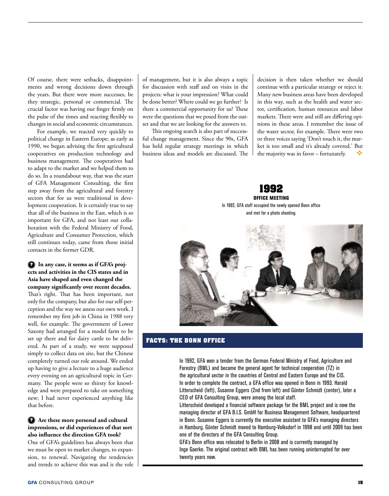Of course, there were setbacks, disappointments and wrong decisions down through the years. But there were more successes, be they strategic, personal or commercial. The crucial factor was having our finger firmly on the pulse of the times and reacting flexibly to changes in social and economic circumstances.

For example, we reacted very quickly to political change in Eastern Europe; as early as 1990, we began advising the first agricultural cooperatives on production technology and business management. The cooperatives had to adapt to the market and we helped them to do so. In a roundabout way, that was the start of GFA Management Consulting, the first step away from the agricultural and forestry sectors that for us were traditional in development cooperation. It is certainly true to say that all of the business in the East, which is so important for GFA, and not least our collaboration with the Federal Ministry of Food, Agriculture and Consumer Protection, which still continues today, came from those initial contacts in the former GDR.

**? In any case, it seems as if GFA's projects and activities in the CIS states and in Asia have shaped and even changed the company significantly over recent decades.** That's right. That has been important, not only for the company, but also for our self-perception and the way we assess our own work. I remember my first job in China in 1988 very well, for example. The government of Lower Saxony had arranged for a model farm to be set up there and for dairy cattle to be delivered. As part of a study, we were supposed simply to collect data on site, but the Chinese completely turned our role around. We ended up having to give a lecture to a huge audience every evening on an agricultural topic in Germany. The people were so thirsty for knowledge and were prepared to take on something new; I had never experienced anything like that before.

#### **? Are these more personal and cultural impressions, or did experiences of that sort also influence the direction GFA took?**

One of GFA's guidelines has always been that we must be open to market changes, to expansion, to renewal. Navigating the tendencies and trends to achieve this was and is the role

of management, but it is also always a topic for discussion with staff and on visits in the projects: what is your impression? What could be done better? Where could we go further? Is there a commercial opportunity for us? These were the questions that we posed from the outset and that we are looking for the answers to.

This ongoing search is also part of successful change management. Since the 90s, GFA has held regular strategy meetings in which business ideas and models are discussed. The decision is then taken whether we should continue with a particular strategy or reject it. Many new business areas have been developed in this way, such as the health and water sector, certification, human resources and labor markets. There were and still are differing opinions in these areas. I remember the issue of the water sector, for example. There were two or three voices saying 'Don't touch it, the market is too small and it's already covered.' But the majority was in favor – fortunately.



### **FACTS: THE BONN OFFICE**

In 1992, GFA won a tender from the German Federal Ministry of Food, Agriculture and Forestry (BML) and became the general agent for technical cooperation (TZ) in the agricultural sector in the countries of Central and Eastern Europe and the CIS. In order to complete the contract, a GFA office was opened in Bonn in 1993. Harald Litterscheid (left), Susanne Eggers (2nd from left) and Günter Schmidt (center), later a CEO of GFA Consulting Group, were among the local staff.

Litterscheid developed a financial software package for the BML project and is now the managing director of GFA B.I.S. GmbH for Business Management Software, headquartered in Bonn. Susanne Eggers is currently the executive assistant to GFA's managing directors in Hamburg. Günter Schmidt moved to Hamburg-Volksdorf in 1998 and until 2009 has been one of the directors of the GFA Consulting Group.

GFA's Bonn office was relocated to Berlin in 2008 and is currently managed by Inge Gaerke. The original contract with BML has been running uninterrupted for over twenty years now.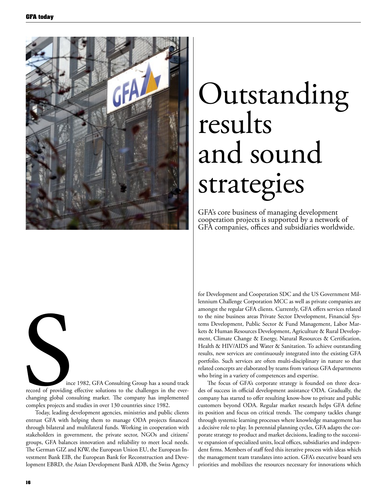

# Outstanding results and sound strategies

GFA's core business of managing development cooperation projects is supported by a network of GFA companies, offices and subsidiaries worldwide.

ince 1982, GFA Consulting Group has a sound track record of providing effective solutions to the challenges in the everchanging global consulting market. The company has implemented complex projects and studies in over 130 countries since 1982. S

Today, leading development agencies, ministries and public clients entrust GFA with helping them to manage ODA projects financed through bilateral and multilateral funds. Working in cooperation with stakeholders in government, the private sector, NGOs and citizens' groups, GFA balances innovation and reliability to meet local needs. The German GIZ and KfW, the European Union EU, the European Investment Bank EIB, the European Bank for Reconstruction and Development EBRD, the Asian Development Bank ADB, the Swiss Agency

for Development and Cooperation SDC and the US Government Millennium Challenge Corporation MCC as well as private companies are amongst the regular GFA clients. Currently, GFA offers services related to the nine business areas Private Sector Development, Financial Systems Development, Public Sector & Fund Management, Labor Markets & Human Resources Development, Agriculture & Rural Development, Climate Change & Energy, Natural Resources & Certification, Health & HIV/AIDS and Water & Sanitation. To achieve outstanding results, new services are continuously integrated into the existing GFA portfolio. Such services are often multi-disciplinary in nature so that related concepts are elaborated by teams from various GFA departments who bring in a variety of competences and expertise.

The focus of GFA's corporate strategy is founded on three decades of success in official development assistance ODA. Gradually, the company has started to offer resulting know-how to private and public customers beyond ODA. Regular market research helps GFA define its position and focus on critical trends. The company tackles change through systemic learning processes where knowledge management has a decisive role to play. In perennial planning cycles, GFA adapts the corporate strategy to product and market decisions, leading to the successive expansion of specialized units, local offices, subsidiaries and independent firms. Members of staff feed this iterative process with ideas which the management team translates into action. GFA's executive board sets priorities and mobilizes the resources necessary for innovations which